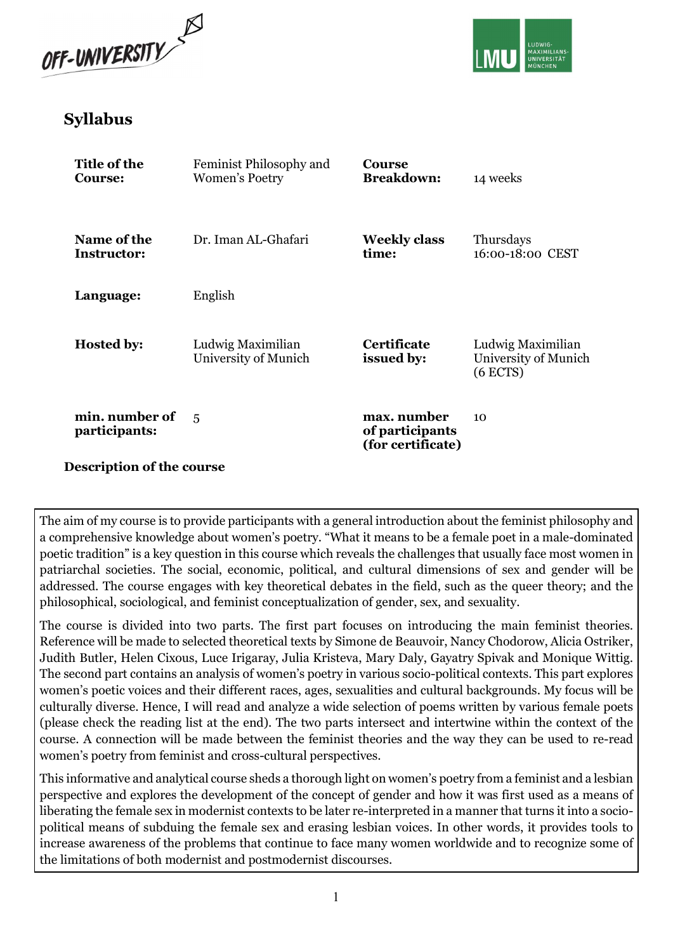



# Syllabus

| Title of the<br>Course:           | Feminist Philosophy and<br>Women's Poetry | <b>Course</b><br><b>Breakdown:</b>                  | 14 weeks                                                |  |
|-----------------------------------|-------------------------------------------|-----------------------------------------------------|---------------------------------------------------------|--|
| Name of the<br><b>Instructor:</b> | Dr. Iman AL-Ghafari                       | <b>Weekly class</b><br>time:                        | Thursdays<br>16:00-18:00 CEST                           |  |
| Language:                         | English                                   |                                                     |                                                         |  |
| <b>Hosted by:</b>                 | Ludwig Maximilian<br>University of Munich | <b>Certificate</b><br>issued by:                    | Ludwig Maximilian<br>University of Munich<br>$(6$ ECTS) |  |
| min. number of<br>participants:   | 5                                         | max. number<br>of participants<br>(for certificate) | 10                                                      |  |
| <b>Description of the course</b>  |                                           |                                                     |                                                         |  |

The aim of my course is to provide participants with a general introduction about the feminist philosophy and a comprehensive knowledge about women's poetry. "What it means to be a female poet in a male-dominated poetic tradition" is a key question in this course which reveals the challenges that usually face most women in patriarchal societies. The social, economic, political, and cultural dimensions of sex and gender will be addressed. The course engages with key theoretical debates in the field, such as the queer theory; and the philosophical, sociological, and feminist conceptualization of gender, sex, and sexuality.

The course is divided into two parts. The first part focuses on introducing the main feminist theories. Reference will be made to selected theoretical texts by Simone de Beauvoir, Nancy Chodorow, Alicia Ostriker, Judith Butler, Helen Cixous, Luce Irigaray, Julia Kristeva, Mary Daly, Gayatry Spivak and Monique Wittig. The second part contains an analysis of women's poetry in various socio-political contexts. This part explores women's poetic voices and their different races, ages, sexualities and cultural backgrounds. My focus will be culturally diverse. Hence, I will read and analyze a wide selection of poems written by various female poets (please check the reading list at the end). The two parts intersect and intertwine within the context of the course. A connection will be made between the feminist theories and the way they can be used to re-read women's poetry from feminist and cross-cultural perspectives.

This informative and analytical course sheds a thorough light on women's poetry from a feminist and a lesbian perspective and explores the development of the concept of gender and how it was first used as a means of liberating the female sex in modernist contexts to be later re-interpreted in a manner that turns it into a sociopolitical means of subduing the female sex and erasing lesbian voices. In other words, it provides tools to increase awareness of the problems that continue to face many women worldwide and to recognize some of the limitations of both modernist and postmodernist discourses.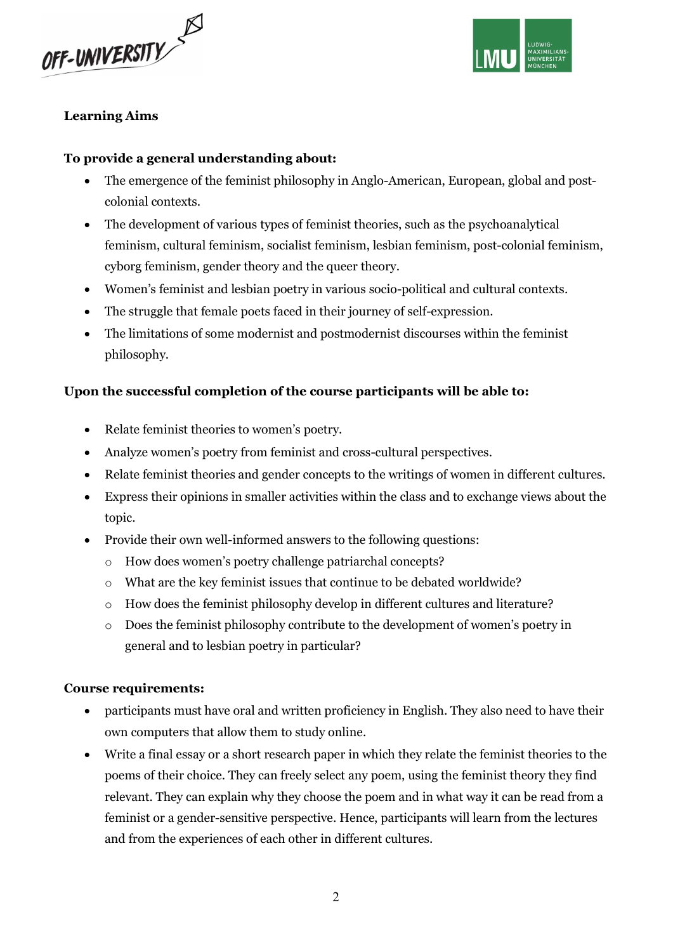



### Learning Aims

#### To provide a general understanding about:

- The emergence of the feminist philosophy in Anglo-American, European, global and postcolonial contexts.
- The development of various types of feminist theories, such as the psychoanalytical feminism, cultural feminism, socialist feminism, lesbian feminism, post-colonial feminism, cyborg feminism, gender theory and the queer theory.
- Women's feminist and lesbian poetry in various socio-political and cultural contexts.
- The struggle that female poets faced in their journey of self-expression.
- The limitations of some modernist and postmodernist discourses within the feminist philosophy.

### Upon the successful completion of the course participants will be able to:

- Relate feminist theories to women's poetry.
- Analyze women's poetry from feminist and cross-cultural perspectives.
- Relate feminist theories and gender concepts to the writings of women in different cultures.
- Express their opinions in smaller activities within the class and to exchange views about the topic.
- Provide their own well-informed answers to the following questions:
	- o How does women's poetry challenge patriarchal concepts?
	- o What are the key feminist issues that continue to be debated worldwide?
	- $\circ$  How does the feminist philosophy develop in different cultures and literature?
	- o Does the feminist philosophy contribute to the development of women's poetry in general and to lesbian poetry in particular?

#### Course requirements:

- participants must have oral and written proficiency in English. They also need to have their own computers that allow them to study online.
- Write a final essay or a short research paper in which they relate the feminist theories to the poems of their choice. They can freely select any poem, using the feminist theory they find relevant. They can explain why they choose the poem and in what way it can be read from a feminist or a gender-sensitive perspective. Hence, participants will learn from the lectures and from the experiences of each other in different cultures.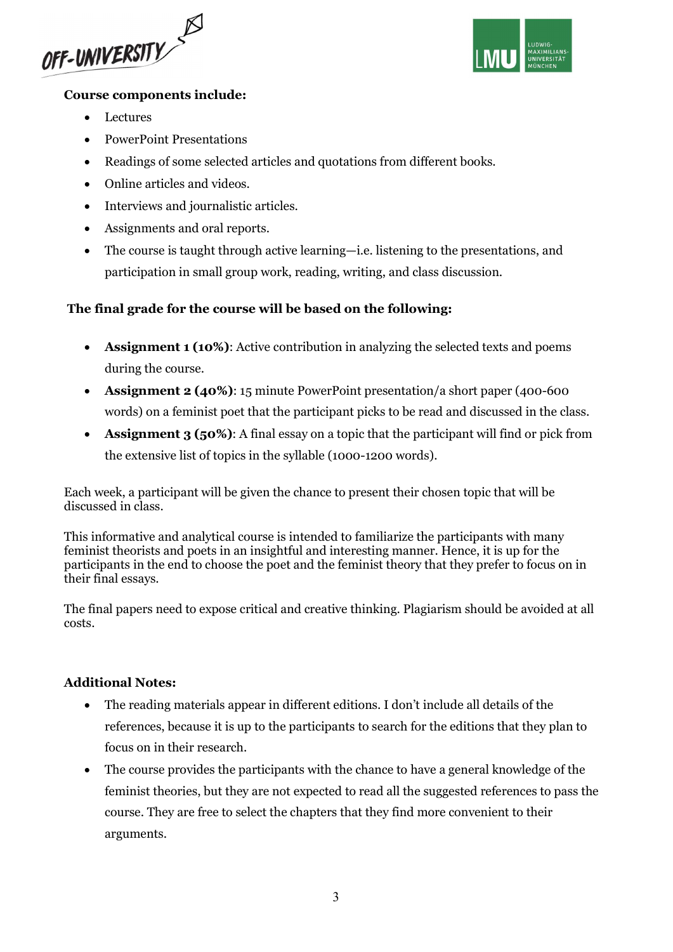



#### Course components include:

- Lectures
- PowerPoint Presentations
- Readings of some selected articles and quotations from different books.
- Online articles and videos.
- Interviews and journalistic articles.
- Assignments and oral reports.
- The course is taught through active learning—i.e. listening to the presentations, and participation in small group work, reading, writing, and class discussion.

### The final grade for the course will be based on the following:

- Assignment 1 (10%): Active contribution in analyzing the selected texts and poems during the course.
- Assignment 2 (40%): 15 minute PowerPoint presentation/a short paper (400-600 words) on a feminist poet that the participant picks to be read and discussed in the class.
- Assignment 3 (50%): A final essay on a topic that the participant will find or pick from the extensive list of topics in the syllable (1000-1200 words).

Each week, a participant will be given the chance to present their chosen topic that will be discussed in class.

This informative and analytical course is intended to familiarize the participants with many feminist theorists and poets in an insightful and interesting manner. Hence, it is up for the participants in the end to choose the poet and the feminist theory that they prefer to focus on in their final essays.

The final papers need to expose critical and creative thinking. Plagiarism should be avoided at all costs.

### Additional Notes:

- The reading materials appear in different editions. I don't include all details of the references, because it is up to the participants to search for the editions that they plan to focus on in their research.
- The course provides the participants with the chance to have a general knowledge of the feminist theories, but they are not expected to read all the suggested references to pass the course. They are free to select the chapters that they find more convenient to their arguments.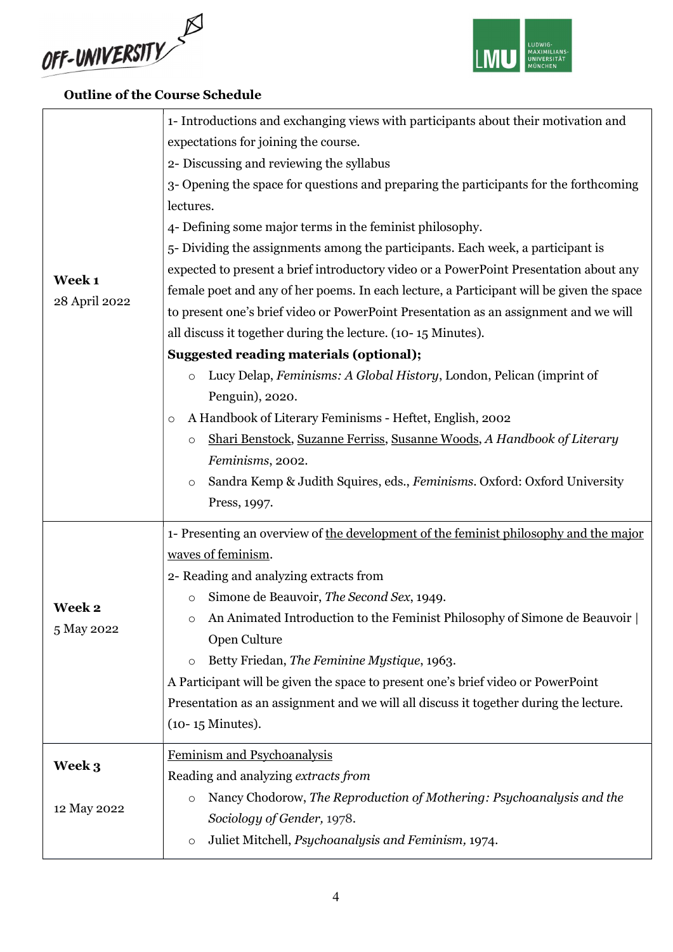



## Outline of the Course Schedule

|                         | 1- Introductions and exchanging views with participants about their motivation and       |
|-------------------------|------------------------------------------------------------------------------------------|
|                         | expectations for joining the course.                                                     |
|                         | 2- Discussing and reviewing the syllabus                                                 |
|                         | 3- Opening the space for questions and preparing the participants for the forthcoming    |
|                         | lectures.                                                                                |
|                         | 4- Defining some major terms in the feminist philosophy.                                 |
|                         | 5- Dividing the assignments among the participants. Each week, a participant is          |
| Week 1<br>28 April 2022 | expected to present a brief introductory video or a PowerPoint Presentation about any    |
|                         | female poet and any of her poems. In each lecture, a Participant will be given the space |
|                         | to present one's brief video or PowerPoint Presentation as an assignment and we will     |
|                         | all discuss it together during the lecture. (10-15 Minutes).                             |
|                         | <b>Suggested reading materials (optional);</b>                                           |
|                         | Lucy Delap, Feminisms: A Global History, London, Pelican (imprint of<br>$\circ$          |
|                         | Penguin), 2020.                                                                          |
|                         | A Handbook of Literary Feminisms - Heftet, English, 2002<br>O                            |
|                         | Shari Benstock, Suzanne Ferriss, Susanne Woods, A Handbook of Literary<br>$\circ$        |
|                         | Feminisms, 2002.                                                                         |
|                         | Sandra Kemp & Judith Squires, eds., Feminisms. Oxford: Oxford University<br>$\circ$      |
|                         | Press, 1997.                                                                             |
|                         | 1- Presenting an overview of the development of the feminist philosophy and the major    |
|                         | waves of feminism.                                                                       |
|                         | 2- Reading and analyzing extracts from                                                   |
|                         | Simone de Beauvoir, The Second Sex, 1949.<br>$\circ$                                     |
| Week 2                  | An Animated Introduction to the Feminist Philosophy of Simone de Beauvoir  <br>O         |
| 5 May 2022              | Open Culture                                                                             |
|                         | Betty Friedan, The Feminine Mystique, 1963.<br>$\circ$                                   |
|                         | A Participant will be given the space to present one's brief video or PowerPoint         |
|                         | Presentation as an assignment and we will all discuss it together during the lecture.    |
|                         | $(10-15)$ Minutes).                                                                      |
|                         | Feminism and Psychoanalysis                                                              |
| Week 3                  |                                                                                          |
|                         | Reading and analyzing extracts from                                                      |
|                         | Nancy Chodorow, The Reproduction of Mothering: Psychoanalysis and the<br>$\circ$         |
| 12 May 2022             | Sociology of Gender, 1978.                                                               |
|                         | Juliet Mitchell, Psychoanalysis and Feminism, 1974.<br>$\circ$                           |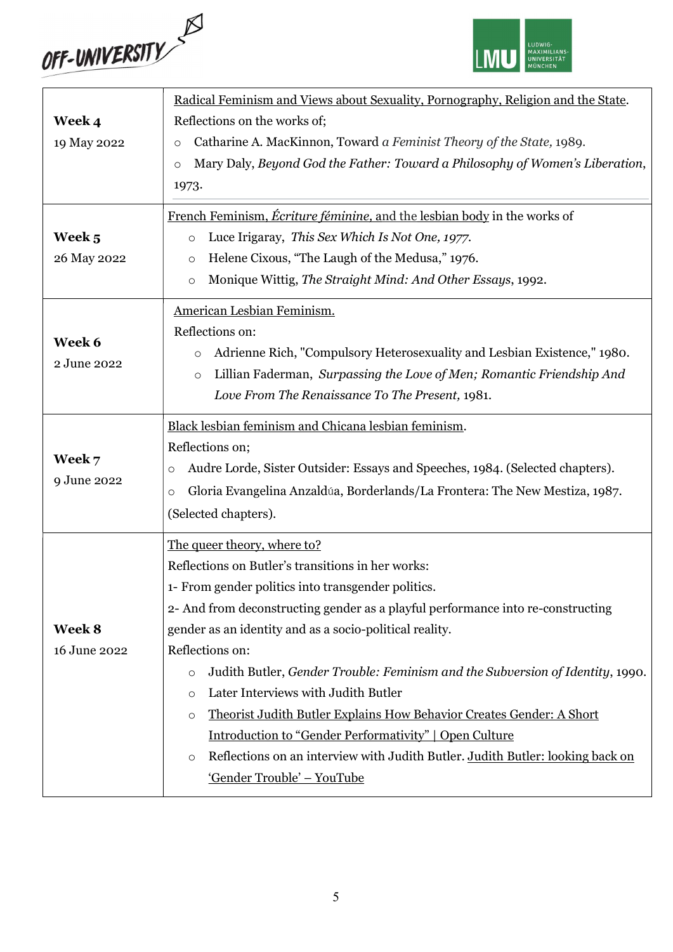



|              | Radical Feminism and Views about Sexuality, Pornography, Religion and the State.          |  |  |
|--------------|-------------------------------------------------------------------------------------------|--|--|
| Week 4       | Reflections on the works of;                                                              |  |  |
| 19 May 2022  | Catharine A. MacKinnon, Toward a Feminist Theory of the State, 1989.<br>$\circ$           |  |  |
|              | Mary Daly, Beyond God the Father: Toward a Philosophy of Women's Liberation,<br>$\circ$   |  |  |
|              | 1973.                                                                                     |  |  |
|              | French Feminism, <i>Écriture féminine</i> , and the lesbian body in the works of          |  |  |
| Week 5       | Luce Irigaray, This Sex Which Is Not One, 1977.<br>$\circ$                                |  |  |
| 26 May 2022  | Helene Cixous, "The Laugh of the Medusa," 1976.<br>$\circ$                                |  |  |
|              | Monique Wittig, The Straight Mind: And Other Essays, 1992.<br>$\circ$                     |  |  |
|              | American Lesbian Feminism.                                                                |  |  |
| Week 6       | Reflections on:                                                                           |  |  |
| 2 June 2022  | Adrienne Rich, "Compulsory Heterosexuality and Lesbian Existence," 1980.<br>$\circ$       |  |  |
|              | Lillian Faderman, Surpassing the Love of Men; Romantic Friendship And<br>$\circ$          |  |  |
|              | Love From The Renaissance To The Present, 1981.                                           |  |  |
|              | Black lesbian feminism and Chicana lesbian feminism.                                      |  |  |
|              | Reflections on;                                                                           |  |  |
| Week 7       | Audre Lorde, Sister Outsider: Essays and Speeches, 1984. (Selected chapters).<br>$\circ$  |  |  |
| 9 June 2022  | Gloria Evangelina Anzaldúa, Borderlands/La Frontera: The New Mestiza, 1987.<br>$\circ$    |  |  |
|              | (Selected chapters).                                                                      |  |  |
|              | The queer theory, where to?                                                               |  |  |
|              | Reflections on Butler's transitions in her works:                                         |  |  |
|              | 1- From gender politics into transgender politics.                                        |  |  |
|              | 2- And from deconstructing gender as a playful performance into re-constructing           |  |  |
| Week 8       | gender as an identity and as a socio-political reality.                                   |  |  |
| 16 June 2022 | Reflections on:                                                                           |  |  |
|              | Judith Butler, Gender Trouble: Feminism and the Subversion of Identity, 1990.<br>O        |  |  |
|              | Later Interviews with Judith Butler<br>$\circ$                                            |  |  |
|              | Theorist Judith Butler Explains How Behavior Creates Gender: A Short<br>$\circ$           |  |  |
|              | <b>Introduction to "Gender Performativity"   Open Culture</b>                             |  |  |
|              | Reflections on an interview with Judith Butler. Judith Butler: looking back on<br>$\circ$ |  |  |
|              | 'Gender Trouble' - YouTube                                                                |  |  |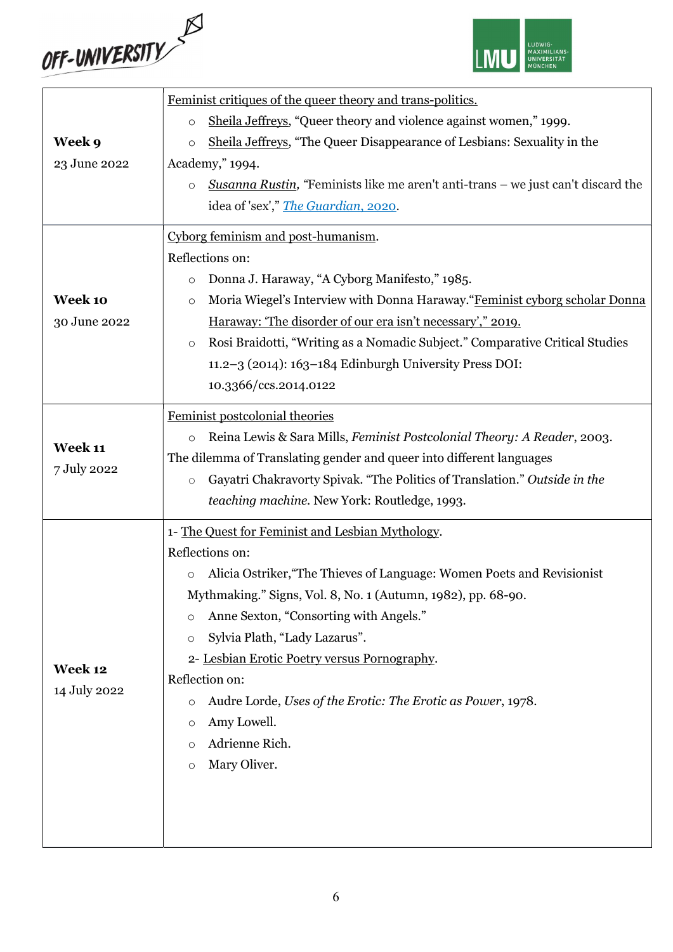



|              | Feminist critiques of the queer theory and trans-politics.                                  |  |  |
|--------------|---------------------------------------------------------------------------------------------|--|--|
|              | Sheila Jeffreys, "Queer theory and violence against women," 1999.<br>$\circ$                |  |  |
| Week 9       | Sheila Jeffreys, "The Queer Disappearance of Lesbians: Sexuality in the<br>$\circ$          |  |  |
| 23 June 2022 | Academy," 1994.                                                                             |  |  |
|              | Susanna Rustin, "Feminists like me aren't anti-trans – we just can't discard the<br>$\circ$ |  |  |
|              | idea of 'sex'," The Guardian, 2020.                                                         |  |  |
|              | Cyborg feminism and post-humanism.                                                          |  |  |
|              | Reflections on:                                                                             |  |  |
|              | Donna J. Haraway, "A Cyborg Manifesto," 1985.<br>$\circ$                                    |  |  |
| Week 10      | Moria Wiegel's Interview with Donna Haraway. "Feminist cyborg scholar Donna                 |  |  |
| 30 June 2022 | $\circ$<br>Haraway: 'The disorder of our era isn't necessary'," 2019.                       |  |  |
|              |                                                                                             |  |  |
|              | Rosi Braidotti, "Writing as a Nomadic Subject." Comparative Critical Studies<br>$\circ$     |  |  |
|              | 11.2-3 (2014): 163-184 Edinburgh University Press DOI:                                      |  |  |
|              | 10.3366/ccs.2014.0122                                                                       |  |  |
|              | Feminist postcolonial theories                                                              |  |  |
| Week 11      | Reina Lewis & Sara Mills, Feminist Postcolonial Theory: A Reader, 2003.<br>$\circ$          |  |  |
|              | The dilemma of Translating gender and queer into different languages                        |  |  |
| 7 July 2022  | Gayatri Chakravorty Spivak. "The Politics of Translation." Outside in the<br>$\circ$        |  |  |
|              | teaching machine. New York: Routledge, 1993.                                                |  |  |
|              | 1- The Quest for Feminist and Lesbian Mythology.                                            |  |  |
|              | Reflections on:                                                                             |  |  |
|              | Alicia Ostriker, "The Thieves of Language: Women Poets and Revisionist                      |  |  |
|              | Mythmaking." Signs, Vol. 8, No. 1 (Autumn, 1982), pp. 68-90.                                |  |  |
|              | Anne Sexton, "Consorting with Angels."<br>$\circ$                                           |  |  |
|              | Sylvia Plath, "Lady Lazarus".<br>$\circ$                                                    |  |  |
|              | 2- Lesbian Erotic Poetry versus Pornography.                                                |  |  |
| Week 12      | Reflection on:                                                                              |  |  |
| 14 July 2022 | Audre Lorde, Uses of the Erotic: The Erotic as Power, 1978.<br>O                            |  |  |
|              | Amy Lowell.<br>$\circ$                                                                      |  |  |
|              | Adrienne Rich.<br>$\Omega$                                                                  |  |  |
|              | Mary Oliver.<br>$\circ$                                                                     |  |  |
|              |                                                                                             |  |  |
|              |                                                                                             |  |  |
|              |                                                                                             |  |  |
|              |                                                                                             |  |  |